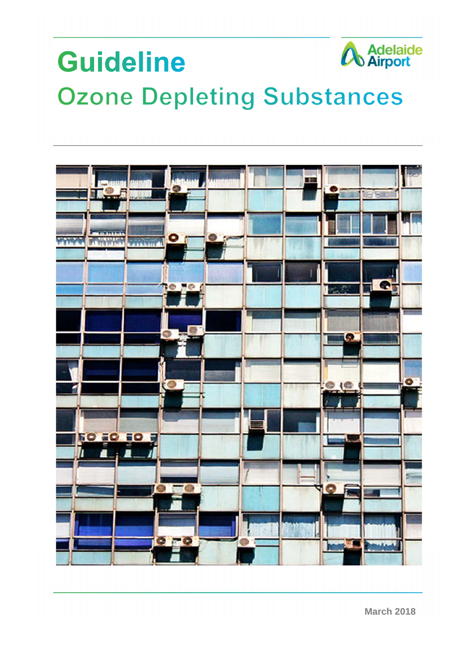# **A** Adelaide **Guideline Ozone Depleting Substances**

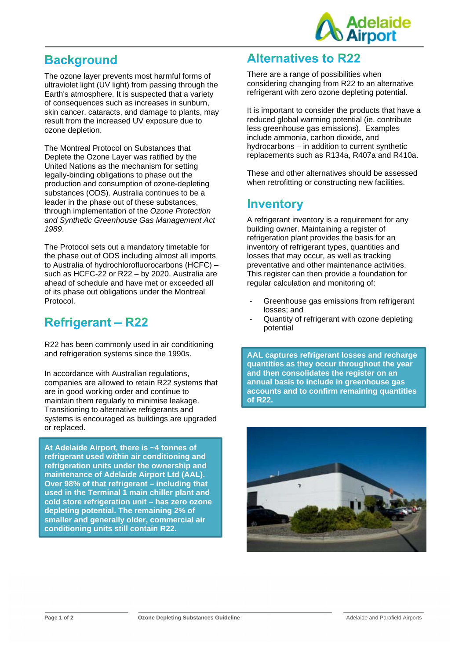

# **Background**

The ozone layer prevents most harmful forms of ultraviolet light (UV light) from passing through the Earth's atmosphere. It is suspected that a variety of consequences such as increases in sunburn, skin cancer, cataracts, and damage to plants, may result from the increased UV exposure due to ozone depletion.

The Montreal Protocol on Substances that Deplete the Ozone Layer was ratified by the United Nations as the mechanism for setting legally-binding obligations to phase out the production and consumption of ozone-depleting substances (ODS). Australia continues to be a leader in the phase out of these substances, through implementation of the *Ozone Protection and Synthetic Greenhouse Gas Management Act 1989*.

The Protocol sets out a mandatory timetable for the phase out of ODS including almost all imports to Australia of hydrochlorofluorocarbons (HCFC) – such as HCFC-22 or R22 – by 2020. Australia are ahead of schedule and have met or exceeded all of its phase out obligations under the Montreal Protocol.

# **Refrigerant - R22**

R22 has been commonly used in air conditioning and refrigeration systems since the 1990s.

In accordance with Australian regulations, companies are allowed to retain R22 systems that are in good working order and continue to maintain them regularly to minimise leakage. Transitioning to alternative refrigerants and systems is encouraged as buildings are upgraded or replaced.

**At Adelaide Airport, there is ~4 tonnes of refrigerant used within air conditioning and refrigeration units under the ownership and maintenance of Adelaide Airport Ltd (AAL). Over 98% of that refrigerant – including that used in the Terminal 1 main chiller plant and cold store refrigeration unit – has zero ozone depleting potential. The remaining 2% of smaller and generally older, commercial air conditioning units still contain R22.** 

#### **Alternatives to R22**

There are a range of possibilities when considering changing from R22 to an alternative refrigerant with zero ozone depleting potential.

It is important to consider the products that have a reduced global warming potential (ie. contribute less greenhouse gas emissions). Examples include ammonia, carbon dioxide, and hydrocarbons – in addition to current synthetic replacements such as R134a, R407a and R410a.

These and other alternatives should be assessed when retrofitting or constructing new facilities.

### Inventory

A refrigerant inventory is a requirement for any building owner. Maintaining a register of refrigeration plant provides the basis for an inventory of refrigerant types, quantities and losses that may occur, as well as tracking preventative and other maintenance activities. This register can then provide a foundation for regular calculation and monitoring of:

- Greenhouse gas emissions from refrigerant losses; and
- Quantity of refrigerant with ozone depleting potential

**AAL captures refrigerant losses and recharge quantities as they occur throughout the year and then consolidates the register on an annual basis to include in greenhouse gas accounts and to confirm remaining quantities of R22.** 

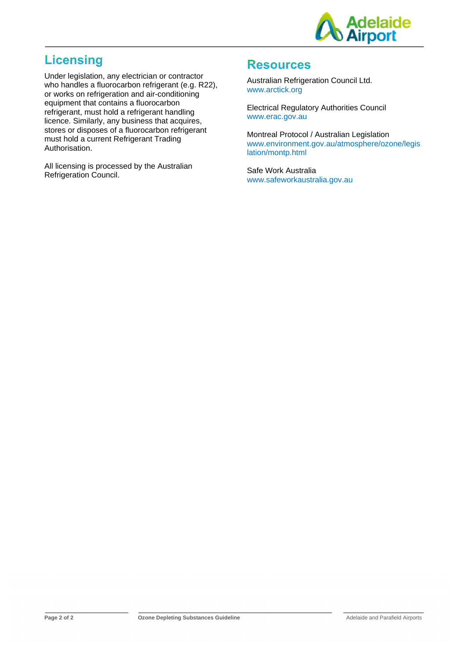

# **Licensing**

Under legislation, any electrician or contractor who handles a fluorocarbon refrigerant (e.g. R22), or works on refrigeration and air-conditioning equipment that contains a fluorocarbon refrigerant, must hold a refrigerant handling licence. Similarly, any business that acquires, stores or disposes of a fluorocarbon refrigerant must hold a current Refrigerant Trading Authorisation.

All licensing is processed by the Australian Refrigeration Council.

#### **Resources**

Australian Refrigeration Council Ltd. www.arctick.org

Electrical Regulatory Authorities Council www.erac.gov.au

Montreal Protocol / Australian Legislation www.environment.gov.au/atmosphere/ozone/legis lation/montp.html

Safe Work Australia www.safeworkaustralia.gov.au